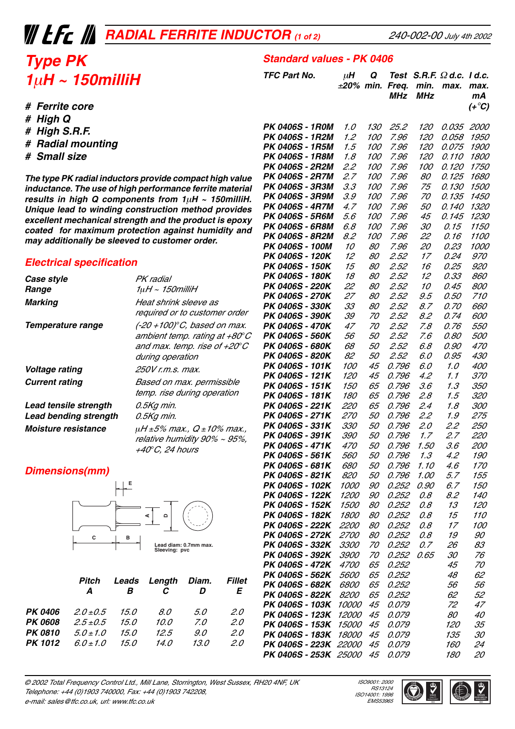# *RADIAL FERRITE INDUCTOR (1 of 2)*

## *Type PK 1*µ*H ~ 150milliH*

- *# Ferrite core*
- *# High Q*
- *# High S.R.F.*
- *# Radial mounting*
- *# Small size*

*The type PK radial inductors provide compact high value inductance. The use of high performance ferrite material results in high Q components from 1*µ*H ~ 150milliH. Unique lead to winding construction method provides excellent mechanical strength and the product is epoxy coated for maximum protection against humidity and may additionally be sleeved to customer order.*

### *Electrical specification*

| Case style                                            | PK radial                                                                                                                  |
|-------------------------------------------------------|----------------------------------------------------------------------------------------------------------------------------|
| Range                                                 | $1\mu$ H ~ 150 $m$ illiH                                                                                                   |
| Marking                                               | Heat shrink sleeve as<br>required or to customer order                                                                     |
| Temperature range                                     | (-20 +100)°C, based on max.<br>ambient temp. rating at +80°C<br>and max. temp. rise of $+20^{\circ}$ C<br>during operation |
| Voltage rating                                        | 250V r.m.s. max.                                                                                                           |
| <b>Current rating</b>                                 | Based on max. permissible<br>temp. rise during operation                                                                   |
| Lead tensile strength<br><b>Lead bending strength</b> | 0.5Kg min.<br>0.5Kg min.                                                                                                   |
| <i><b>Moisture resistance</b></i>                     | μH ±5% max., Q ±10% max.,<br>relative humidity 90% ~ 95%,<br>+40°C. 24 hours                                               |

### *Dimensions(mm)*



|                | Pitch<br>A    | в    | Leads Length Diam.<br>C | D           | Fillet<br>E |
|----------------|---------------|------|-------------------------|-------------|-------------|
| PK 0406        | $2.0 \pm 0.5$ | 15.0 | 8.0                     | 5.0         | 2.0         |
| <b>PK 0608</b> | $2.5 \pm 0.5$ | 15.0 | 10.0                    | $Z_{\rm O}$ | 2.0         |
| <b>PK 0810</b> | $50 + 10$     | 15.0 | 12.5                    | 9.0         | 2.0         |
| <b>PK 1012</b> | $6.0 \pm 1.0$ | 15.0 | 14.0                    | 13.0        | 20          |

|                                    | ±20% min.           |            | Freq.<br><b>MHz</b> | mın.<br><b>MHz</b> | max.         | max.<br>mА<br>$(+^\circ C)$ |
|------------------------------------|---------------------|------------|---------------------|--------------------|--------------|-----------------------------|
| <b>PK 0406S - 1R0M</b>             | 1.0                 | 130        | 25.2                | 120                | 0.035        | 2000                        |
| <b>PK 0406S - 1R2M</b>             | 1.2                 | <i>100</i> | 7.96                | 120                | 0.058        | <i>1950</i>                 |
| PK 0406S - 1R5M                    | 1.5                 | <i>100</i> | 7.96                | 120                | 0.075        | <i>1900</i>                 |
| <b>PK 0406S - 1R8M</b>             | 1.8                 | <i>100</i> | 7.96                | 120                | 0.110        | <i>1800</i>                 |
| <b>PK 0406S - 2R2M</b>             | 2.2                 | <i>100</i> | 7.96                | <i>100</i>         | 0.120        | <i>1750</i>                 |
| <b>PK 0406S - 2R7M</b>             | 2.7                 | <i>100</i> | 7.96                | 80                 | 0.125        | 1680                        |
| <b>PK 0406S - 3R3M</b>             | 3.3                 | <i>100</i> | 7.96                | 75                 | 0.130        | <i>1500</i>                 |
| <b>PK 0406S - 3R9M</b>             | 3.9                 | <i>100</i> | 7.96                | 70                 | 0.135        | <i>1450</i>                 |
| <b>PK 0406S - 4R7M</b>             | 4.7                 | <i>100</i> | 7.96                | 50                 | 0.140        | 1320                        |
| <b>PK 0406S - 5R6M</b>             | 5.6                 | <i>100</i> | 7.96                | 45                 | 0.145        | 1230                        |
| <b>PK 0406S - 6R8M</b>             | 6.8                 | 100        | 7.96                | 30                 | 0.15         | <i>1150</i>                 |
| <b>PK 0406S - 8R2M</b>             | 8.2                 | 100        | 7.96                | 22                 | 0.16         | <i>1100</i>                 |
| PK 0406S - 100M                    | 10                  | 80         | 7.96                | 20                 | 0.23         | <i>1000</i>                 |
| PK 0406S - 120K                    | 12                  | 80         | 2.52                | 17                 | 0.24         | <i>970</i>                  |
| PK 0406S - 150K                    | 15                  | 80         | 2.52                | 16                 | 0.25         | 920                         |
| PK 0406S - 180K                    | 18                  | 80         | 2.52                | 12                 | 0.33         | 860                         |
| PK 0406S - 220K<br>PK 0406S - 270K | 22                  | 80         | 2.52                | 10                 | 0.45         | 800                         |
|                                    | 27<br>33            | 80<br>80   | 2.52                | 9.5                | 0.50<br>0.70 | 710                         |
| PK 0406S - 330K<br>PK 0406S - 390K | 39                  | 70         | 2.52<br>2.52        | 8.7<br>8.2         | 0.74         | 660<br>600                  |
| PK 0406S - 470K                    | 47                  | 70         | 2.52                | 7.8                | 0.76         | <i>550</i>                  |
| PK 0406S - 560K                    | 56                  | 50         | 2.52                | 7.6                | 0.80         | <i>500</i>                  |
| PK 0406S - 680K                    | 68                  | 50         | 2.52                | 6.8                | 0.90         | <i>470</i>                  |
| PK 0406S - 820K                    | 82                  | 50         | 2.52                | 6.0                | 0.95         | 430                         |
| PK 0406S - 101K                    | <i>100</i>          | 45         | 0.796               | 6.0                | 1.0          | 400                         |
| PK 0406S - 121K                    | 120                 | 45         | 0.796               | 4.2                | 1.1          | <i>370</i>                  |
| PK 0406S - 151K                    | 150                 | 65         | 0.796               | 3.6                | 1.3          | <i>350</i>                  |
| PK 0406S - 181K                    | 180                 | 65         | 0.796               | 2.8                | 1.5          | 320                         |
| PK 0406S - 221K                    | 220                 | 65         | 0.796               | 2.4                | 1.8          | <i>300</i>                  |
| PK 0406S - 271K                    | <i>270</i>          | 50         | 0.796               | 2.2                | 1.9          | 275                         |
| PK 0406S - 331K                    | <i>330</i>          | 50         | 0.796               | 2.0                | 2.2          | 250                         |
| PK 0406S - 391K                    | <i>390</i>          | 50         | 0.796               | 1.7                | 2.7          | <i>220</i>                  |
| PK 0406S - 471K                    | <i>470</i>          | 50         | 0.796               | 1.50               | 3.6          | 200                         |
| PK 0406S - 561K                    | 560                 | 50         | 0.796               | 1.3                | 4.2          | 190                         |
| PK 0406S - 681K                    | 680                 | 50         | 0.796               | 1.10               | 4.6          | <i>170</i>                  |
| PK 0406S - 821K                    | 820                 | 50         | 0.796               | 1.00               | 5.7          | 155                         |
| PK 0406S - 102K                    | 1000                | 90         | 0.252               | 0.90               | 6.7          | 150                         |
| PK 0406S - 122K                    | <i>1200</i>         | 90         | 0.252               | 0.8                | 8.2          | 140                         |
| PK 0406S - 152K                    | <i>1500</i>         | 80         | 0.252               | 0.8                | 13           | 120                         |
| PK 0406S - 182K                    | <i><b>1800</b></i>  | 80         | 0.252               | 0.8                | 15           | <i>110</i>                  |
| PK 0406S - 222K                    | <i>2200</i>         | 80         | 0.252               | 0.8                | 17           | <i>100</i>                  |
| PK 0406S - 272K                    | <i>2700</i>         | 80         | 0.252               | 0.8                | 19           | 90                          |
| PK 0406S - 332K                    | <i>3300</i>         | 70         | 0.252               | 0.7                | 26           | 83                          |
| PK 0406S - 392K                    | <i>3900</i>         | 70         | 0.252               | 0.65               | 30           | 76                          |
| <i>PK 0406S - 472K</i>             | <i>4700</i>         | 65         | 0.252               |                    | 45           | 70                          |
| PK 0406S - 562K                    | <i>5600</i>         | 65         | 0.252               |                    | 48           | 62                          |
| PK 0406S - 682K<br>PK 0406S - 822K | 6800<br><i>8200</i> | 65         | 0.252<br>0.252      |                    | 56<br>62     | 56                          |
| PK 0406S - 103K                    | <i>10000</i>        | 65<br>45   |                     |                    | 72           | 52<br>47                    |
| PK 0406S - 123K                    | <i>12000</i>        | 45         | 0.079<br>0.079      |                    | 80           | 40                          |
| PK 0406S - 153K                    | <i>15000</i>        | 45         | 0.079               |                    | 120          | 35                          |
| PK 0406S - 183K                    | <i><b>18000</b></i> | 45         | 0.079               |                    | 135          | 30                          |
| <i>PK 0406S - 223K</i>             | <i>22000</i>        | 45         | 0.079               |                    | 160          | 24                          |

*Standard values - PK 0406*

*TFC Part No.* µ*H Q Test S.R.F.* Ω *d.c. I d.c.*

© 2002 Total Frequency Control Ltd., Mill Lane, Storrington, West Sussex, RH20 4NF, UK Telephone: +44 (0)1903 740000, Fax: +44 (0)1903 742208, e-mail: sales@tfc.co.uk, url: www.tfc.co.uk

 ISO9001: 2000 RS13124 ISO14001: 1996 **EMS53965** 

**PK 0406S - 223K** 22000 45 0.079 160 *PK 0406S - 253K* 25000 45 0.079 180 20